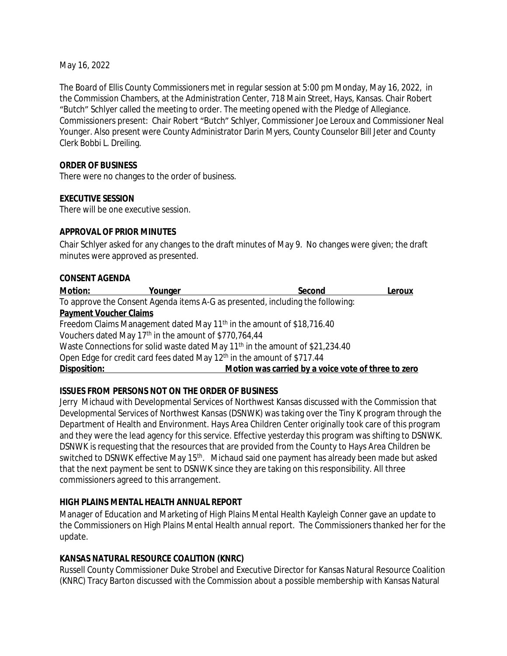May 16, 2022

The Board of Ellis County Commissioners met in regular session at 5:00 pm Monday, May 16, 2022, in the Commission Chambers, at the Administration Center, 718 Main Street, Hays, Kansas. Chair Robert "Butch" Schlyer called the meeting to order. The meeting opened with the Pledge of Allegiance. Commissioners present: Chair Robert "Butch" Schlyer, Commissioner Joe Leroux and Commissioner Neal Younger. Also present were County Administrator Darin Myers, County Counselor Bill Jeter and County Clerk Bobbi L. Dreiling.

## **ORDER OF BUSINESS**

There were no changes to the order of business.

## **EXECUTIVE SESSION**

There will be one executive session.

## **APPROVAL OF PRIOR MINUTES**

Chair Schlyer asked for any changes to the draft minutes of May 9. No changes were given; the draft minutes were approved as presented.

#### **CONSENT AGENDA**

| Motion:                       | Younger                                                                                   | Second                                              | <b>Leroux</b> |
|-------------------------------|-------------------------------------------------------------------------------------------|-----------------------------------------------------|---------------|
|                               | To approve the Consent Agenda items A-G as presented, including the following:            |                                                     |               |
| <b>Payment Voucher Claims</b> |                                                                                           |                                                     |               |
|                               | Freedom Claims Management dated May 11 <sup>th</sup> in the amount of \$18,716.40         |                                                     |               |
|                               | Vouchers dated May 17 <sup>th</sup> in the amount of \$770,764,44                         |                                                     |               |
|                               | Waste Connections for solid waste dated May 11 <sup>th</sup> in the amount of \$21,234.40 |                                                     |               |
|                               | Open Edge for credit card fees dated May 12 <sup>th</sup> in the amount of \$717.44       |                                                     |               |
| Disposition:                  |                                                                                           | Motion was carried by a voice vote of three to zero |               |

## **ISSUES FROM PERSONS NOT ON THE ORDER OF BUSINESS**

Jerry Michaud with Developmental Services of Northwest Kansas discussed with the Commission that Developmental Services of Northwest Kansas (DSNWK) was taking over the Tiny K program through the Department of Health and Environment. Hays Area Children Center originally took care of this program and they were the lead agency for this service. Effective yesterday this program was shifting to DSNWK. DSNWK is requesting that the resources that are provided from the County to Hays Area Children be switched to DSNWK effective May 15<sup>th</sup>. Michaud said one payment has already been made but asked that the next payment be sent to DSNWK since they are taking on this responsibility. All three commissioners agreed to this arrangement.

## **HIGH PLAINS MENTAL HEALTH ANNUAL REPORT**

Manager of Education and Marketing of High Plains Mental Health Kayleigh Conner gave an update to the Commissioners on High Plains Mental Health annual report. The Commissioners thanked her for the update.

## **KANSAS NATURAL RESOURCE COALITION (KNRC)**

Russell County Commissioner Duke Strobel and Executive Director for Kansas Natural Resource Coalition (KNRC) Tracy Barton discussed with the Commission about a possible membership with Kansas Natural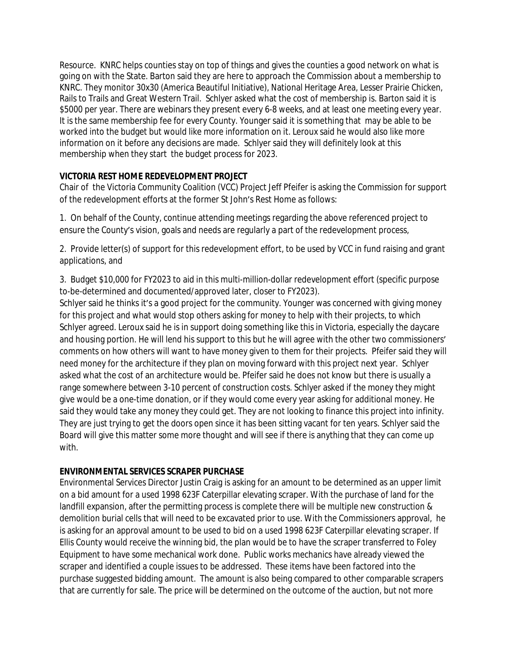Resource. KNRC helps counties stay on top of things and gives the counties a good network on what is going on with the State. Barton said they are here to approach the Commission about a membership to KNRC. They monitor 30x30 (America Beautiful Initiative), National Heritage Area, Lesser Prairie Chicken, Rails to Trails and Great Western Trail. Schlyer asked what the cost of membership is. Barton said it is \$5000 per year. There are webinars they present every 6-8 weeks, and at least one meeting every year. It is the same membership fee for every County. Younger said it is something that may be able to be worked into the budget but would like more information on it. Leroux said he would also like more information on it before any decisions are made. Schlyer said they will definitely look at this membership when they start the budget process for 2023.

# **VICTORIA REST HOME REDEVELOPMENT PROJECT**

Chair of the Victoria Community Coalition (VCC) Project Jeff Pfeifer is asking the Commission for support of the redevelopment efforts at the former St John's Rest Home as follows:

1. On behalf of the County, continue attending meetings regarding the above referenced project to ensure the County's vision, goals and needs are regularly a part of the redevelopment process,

2. Provide letter(s) of support for this redevelopment effort, to be used by VCC in fund raising and grant applications, and

3. Budget \$10,000 for FY2023 to aid in this multi-million-dollar redevelopment effort (specific purpose to-be-determined and documented/approved later, closer to FY2023).

Schlyer said he thinks it's a good project for the community. Younger was concerned with giving money for this project and what would stop others asking for money to help with their projects, to which Schlyer agreed. Leroux said he is in support doing something like this in Victoria, especially the daycare and housing portion. He will lend his support to this but he will agree with the other two commissioners' comments on how others will want to have money given to them for their projects. Pfeifer said they will need money for the architecture if they plan on moving forward with this project next year. Schlyer asked what the cost of an architecture would be. Pfeifer said he does not know but there is usually a range somewhere between 3-10 percent of construction costs. Schlyer asked if the money they might give would be a one-time donation, or if they would come every year asking for additional money. He said they would take any money they could get. They are not looking to finance this project into infinity. They are just trying to get the doors open since it has been sitting vacant for ten years. Schlyer said the Board will give this matter some more thought and will see if there is anything that they can come up with.

# **ENVIRONMENTAL SERVICES SCRAPER PURCHASE**

Environmental Services Director Justin Craig is asking for an amount to be determined as an upper limit on a bid amount for a used 1998 623F Caterpillar elevating scraper. With the purchase of land for the landfill expansion, after the permitting process is complete there will be multiple new construction & demolition burial cells that will need to be excavated prior to use. With the Commissioners approval, he is asking for an approval amount to be used to bid on a used 1998 623F Caterpillar elevating scraper. If Ellis County would receive the winning bid, the plan would be to have the scraper transferred to Foley Equipment to have some mechanical work done. Public works mechanics have already viewed the scraper and identified a couple issues to be addressed. These items have been factored into the purchase suggested bidding amount. The amount is also being compared to other comparable scrapers that are currently for sale. The price will be determined on the outcome of the auction, but not more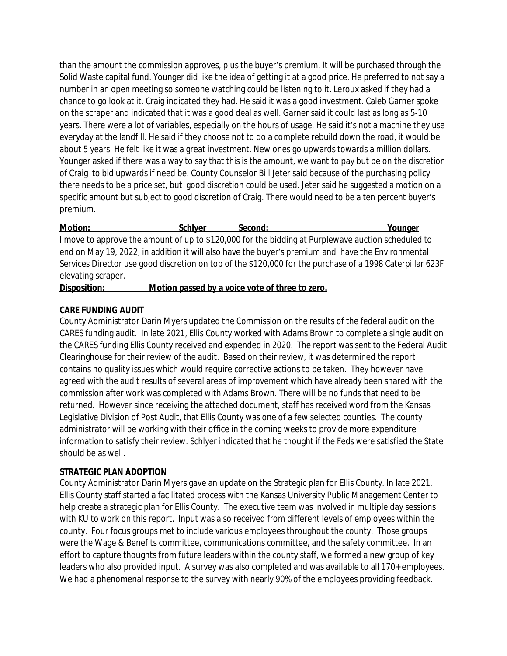than the amount the commission approves, plus the buyer's premium. It will be purchased through the Solid Waste capital fund. Younger did like the idea of getting it at a good price. He preferred to not say a number in an open meeting so someone watching could be listening to it. Leroux asked if they had a chance to go look at it. Craig indicated they had. He said it was a good investment. Caleb Garner spoke on the scraper and indicated that it was a good deal as well. Garner said it could last as long as 5-10 years. There were a lot of variables, especially on the hours of usage. He said it's not a machine they use everyday at the landfill. He said if they choose not to do a complete rebuild down the road, it would be about 5 years. He felt like it was a great investment. New ones go upwards towards a million dollars. Younger asked if there was a way to say that this is the amount, we want to pay but be on the discretion of Craig to bid upwards if need be. County Counselor Bill Jeter said because of the purchasing policy there needs to be a price set, but good discretion could be used. Jeter said he suggested a motion on a specific amount but subject to good discretion of Craig. There would need to be a ten percent buyer's premium.

**Motion: Schlyer Second: Younger** I move to approve the amount of up to \$120,000 for the bidding at Purplewave auction scheduled to end on May 19, 2022, in addition it will also have the buyer's premium and have the Environmental Services Director use good discretion on top of the \$120,000 for the purchase of a 1998 Caterpillar 623F elevating scraper.

**Disposition: Motion passed by a voice vote of three to zero.**

## **CARE FUNDING AUDIT**

County Administrator Darin Myers updated the Commission on the results of the federal audit on the CARES funding audit. In late 2021, Ellis County worked with Adams Brown to complete a single audit on the CARES funding Ellis County received and expended in 2020. The report was sent to the Federal Audit Clearinghouse for their review of the audit. Based on their review, it was determined the report contains no quality issues which would require corrective actions to be taken. They however have agreed with the audit results of several areas of improvement which have already been shared with the commission after work was completed with Adams Brown. There will be no funds that need to be returned. However since receiving the attached document, staff has received word from the Kansas Legislative Division of Post Audit, that Ellis County was one of a few selected counties. The county administrator will be working with their office in the coming weeks to provide more expenditure information to satisfy their review. Schlyer indicated that he thought if the Feds were satisfied the State should be as well.

# **STRATEGIC PLAN ADOPTION**

County Administrator Darin Myers gave an update on the Strategic plan for Ellis County. In late 2021, Ellis County staff started a facilitated process with the Kansas University Public Management Center to help create a strategic plan for Ellis County. The executive team was involved in multiple day sessions with KU to work on this report. Input was also received from different levels of employees within the county. Four focus groups met to include various employees throughout the county. Those groups were the Wage & Benefits committee, communications committee, and the safety committee. In an effort to capture thoughts from future leaders within the county staff, we formed a new group of key leaders who also provided input. A survey was also completed and was available to all 170+ employees. We had a phenomenal response to the survey with nearly 90% of the employees providing feedback.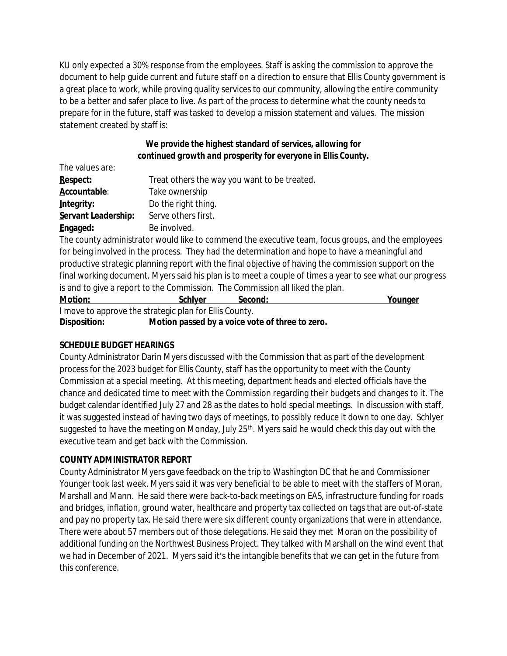KU only expected a 30% response from the employees. Staff is asking the commission to approve the document to help guide current and future staff on a direction to ensure that Ellis County government is a great place to work, while proving quality services to our community, allowing the entire community to be a better and safer place to live. As part of the process to determine what the county needs to prepare for in the future, staff was tasked to develop a mission statement and values. The mission statement created by staff is:

# *We provide the highest standard of services, allowing for continued growth and prosperity for everyone in Ellis County.*

| The values are:     |                                              |
|---------------------|----------------------------------------------|
| Respect:            | Treat others the way you want to be treated. |
| Accountable:        | Take ownership                               |
| Integrity:          | Do the right thing.                          |
| Servant Leadership: | Serve others first.                          |
| Engaged:            | Be involved.                                 |

The county administrator would like to commend the executive team, focus groups, and the employees for being involved in the process. They had the determination and hope to have a meaningful and productive strategic planning report with the final objective of having the commission support on the final working document. Myers said his plan is to meet a couple of times a year to see what our progress is and to give a report to the Commission. The Commission all liked the plan.

| <b>Motion:</b> | <b>Schlyer</b>                                         | Second:                                         | Younger |
|----------------|--------------------------------------------------------|-------------------------------------------------|---------|
|                | I move to approve the strategic plan for Ellis County. |                                                 |         |
| Disposition:   |                                                        | Motion passed by a voice vote of three to zero. |         |

# **SCHEDULE BUDGET HEARINGS**

County Administrator Darin Myers discussed with the Commission that as part of the development process for the 2023 budget for Ellis County, staff has the opportunity to meet with the County Commission at a special meeting. At this meeting, department heads and elected officials have the chance and dedicated time to meet with the Commission regarding their budgets and changes to it. The budget calendar identified July 27 and 28 as the dates to hold special meetings. In discussion with staff, it was suggested instead of having two days of meetings, to possibly reduce it down to one day. Schlyer suggested to have the meeting on Monday, July 25<sup>th</sup>. Myers said he would check this day out with the executive team and get back with the Commission.

# **COUNTY ADMINISTRATOR REPORT**

County Administrator Myers gave feedback on the trip to Washington DC that he and Commissioner Younger took last week. Myers said it was very beneficial to be able to meet with the staffers of Moran, Marshall and Mann. He said there were back-to-back meetings on EAS, infrastructure funding for roads and bridges, inflation, ground water, healthcare and property tax collected on tags that are out-of-state and pay no property tax. He said there were six different county organizations that were in attendance. There were about 57 members out of those delegations. He said they met Moran on the possibility of additional funding on the Northwest Business Project. They talked with Marshall on the wind event that we had in December of 2021. Myers said it's the intangible benefits that we can get in the future from this conference.